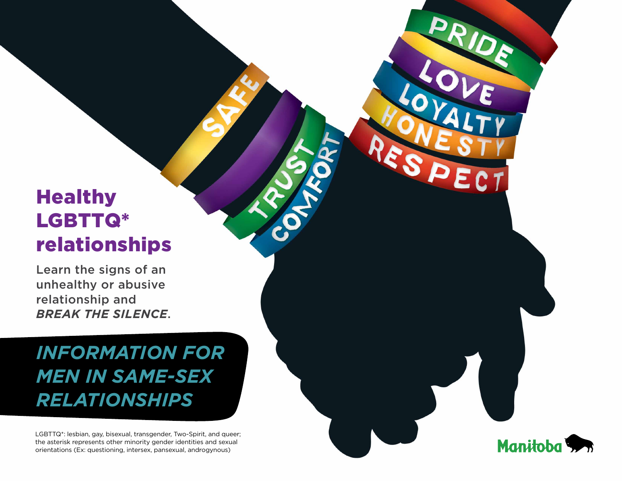# **Healthy** LGBTTQ\* relationships

Learn the signs of an unhealthy or abusive relationship and *break the silence*.

# *Information for MEN in same-sex relationships*

LGBTTQ\*: lesbian, gay, bisexual, transgender, Two-Spirit, and queer; the asterisk represents other minority gender identities and sexual orientations (Ex: questioning, intersex, pansexual, androgynous)

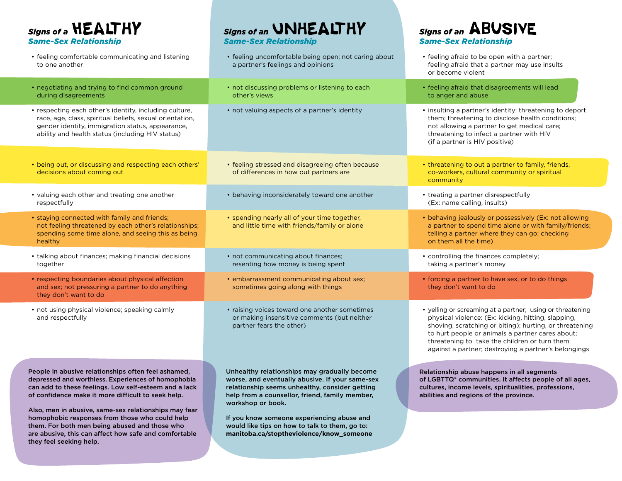**Signs of a <b>HEALTHY** *Same-Sex Relationship*

- feeling comfortable communicating and listening to one another
- negotiating and trying to find common ground during disagreements
- respecting each other's identity, including culture, race, age, class, spiritual beliefs, sexual orientation, gender identity, immigration status, appearance, ability and health status (including HIV status)
- being out, or discussing and respecting each others' decisions about coming out
- valuing each other and treating one another respectfully
- staying connected with family and friends; not feeling threatened by each other's relationships; spending some time alone, and seeing this as being healthy
- talking about finances; making financial decisions together
- respecting boundaries about physical affection and sex; not pressuring a partner to do anything they don't want to do
- not using physical violence; speaking calmly and respectfully

People in abusive relationships often feel ashamed, depressed and worthless. Experiences of homophobia can add to these feelings. Low self-esteem and a lack of confidence make it more difficult to seek help.

Also, men in abusive, same-sex relationships may fear homophobic responses from those who could help them. For both men being abused and those who are abusive, this can affect how safe and comfortable they feel seeking help.

Unhealthy relationships may gradually become worse, and eventually abusive. If your same-sex relationship seems unhealthy, consider getting help from a counsellor, friend, family member, workshop or book.

**Signs of an UNHEALTHY** 

*Same-Sex Relationship*

other's views

If you know someone experiencing abuse and would like tips on how to talk to them, go to: **manitoba.ca/stoptheviolence/know\_someone**

### **Signs of an ABUSIVE** *Same-Sex Relationship*

• feeling uncomfortable being open; not caring about a partner's feelings and opinions • not discussing problems or listening to each • not valuing aspects of a partner's identity • feeling stressed and disagreeing often because of differences in how out partners are • behaving inconsiderately toward one another • spending nearly all of your time together, and little time with friends/family or alone • not communicating about finances; resenting how money is being spent • embarrassment communicating about sex; sometimes going along with things • raising voices toward one another sometimes or making insensitive comments (but neither partner fears the other) • feeling afraid to be open with a partner; feeling afraid that a partner may use insults or become violent • feeling afraid that disagreements will lead to anger and abuse • insulting a partner's identity; threatening to deport them; threatening to disclose health conditions; not allowing a partner to get medical care; threatening to infect a partner with HIV (if a partner is HIV positive) • threatening to out a partner to family, friends, co-workers, cultural community or spiritual community • treating a partner disrespectfully (Ex: name calling, insults) • behaving jealously or possessively (Ex: not allowing a partner to spend time alone or with family/friends; telling a partner where they can go; checking on them all the time) • controlling the finances completely; taking a partner's money • forcing a partner to have sex, or to do things they don't want to do • yelling or screaming at a partner; using or threatening physical violence: (Ex: kicking, hitting, slapping, shoving, scratching or biting); hurting, or threatening to hurt people or animals a partner cares about; threatening to take the children or turn them against a partner; destroying a partner's belongings Relationship abuse happens in all segments of LGBTTQ\* communities. It affects people of all ages, cultures, income levels, spiritualities, professions, abilities and regions of the province.